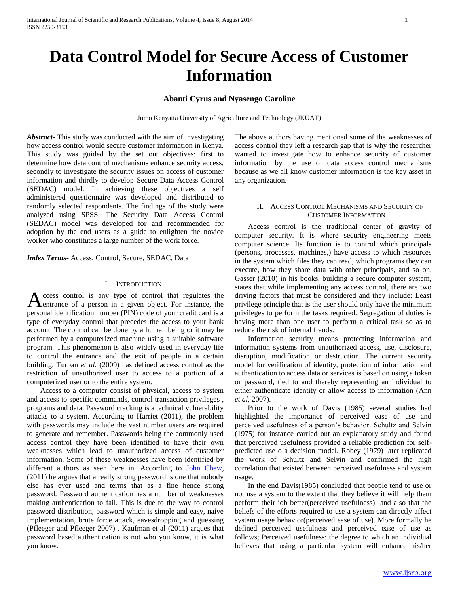# **Abanti Cyrus and Nyasengo Caroline**

Jomo Kenyatta University of Agriculture and Technology (JKUAT)

*Abstract***-** This study was conducted with the aim of investigating how access control would secure customer information in Kenya. This study was guided by the set out objectives: first to determine how data control mechanisms enhance security access, secondly to investigate the security issues on access of customer information and thirdly to develop Secure Data Access Control (SEDAC) model. In achieving these objectives a self administered questionnaire was developed and distributed to randomly selected respondents. The findings of the study were analyzed using SPSS. The Security Data Access Control (SEDAC) model was developed for and recommended for adoption by the end users as a guide to enlighten the novice worker who constitutes a large number of the work force.

*Index Terms*- Access, Control, Secure, SEDAC, Data

### I. INTRODUCTION

ccess control is any type of control that regulates the Access control is any type of control that regulates the entrance of a person in a given object. For instance, the personal identification number (PIN) code of your credit card is a type of everyday control that precedes the access to your bank account. The control can be done by a human being or it may be performed by a computerized machine using a suitable software program. This phenomenon is also widely used in everyday life to control the entrance and the exit of people in a certain building. Turban *et al.* (2009) has defined access control as the restriction of unauthorized user to access to a portion of a computerized user or to the entire system.

 Access to a computer consist of physical, access to system and access to specific commands, control transaction privileges , programs and data. Password cracking is a technical vulnerability attacks to a system. According to Harriet (2011), the problem with passwords may include the vast number users are required to generate and remember. Passwords being the commonly used access control they have been identified to have their own weaknesses which lead to unauthorized access of customer information. Some of these weaknesses have been identified by different authors as seen here in. According to John Chew, (2011) he argues that a really strong password is one that nobody else has ever used and terms that as a fine hence strong password. Password authentication has a number of weaknesses making authentication to fail. This is due to the way to control password distribution, password which is simple and easy, naive implementation, brute force attack, eavesdropping and guessing (Pfleeger and Pfleeger 2007) . Kaufman et al (2011) argues that password based authentication is not who you know, it is what you know.

The above authors having mentioned some of the weaknesses of access control they left a research gap that is why the researcher wanted to investigate how to enhance security of customer information by the use of data access control mechanisms because as we all know customer information is the key asset in any organization.

### II. ACCESS CONTROL MECHANISMS AND SECURITY OF CUSTOMER INFORMATION

 Access control is the traditional center of gravity of computer security. It is where security engineering meets computer science. Its function is to control which principals (persons, processes, machines,) have access to which resources in the system which files they can read, which programs they can execute, how they share data with other principals, and so on. Gasser (2010) in his books, building a secure computer system, states that while implementing any access control, there are two driving factors that must be considered and they include: Least privilege principle that is the user should only have the minimum privileges to perform the tasks required. Segregation of duties is having more than one user to perform a critical task so as to reduce the risk of internal frauds.

 Information security means protecting information and information systems from unauthorized access, use, disclosure, disruption, modification or destruction. The current security model for verification of identity, protection of information and authentication to access data or services is based on using a token or password, tied to and thereby representing an individual to either authenticate identity or allow access to information (Ann *et al*, 2007).

 Prior to the work of Davis (1985) several studies had highlighted the importance of perceived ease of use and perceived usefulness of a person's behavior. Schultz and Selvin (1975) for instance carried out an explanatory study and found that perceived usefulness provided a reliable prediction for selfpredicted use o a decision model. Robey (1979) later replicated the work of Schultz and Selvin and confirmed the high correlation that existed between perceived usefulness and system usage.

 In the end Davis(1985) concluded that people tend to use or not use a system to the extent that they believe it will help them perform their job better(perceived usefulness) and also that the beliefs of the efforts required to use a system can directly affect system usage behavior(perceived ease of use). More formally he defined perceived usefulness and perceived ease of use as follows; Perceived usefulness: the degree to which an individual believes that using a particular system will enhance his/her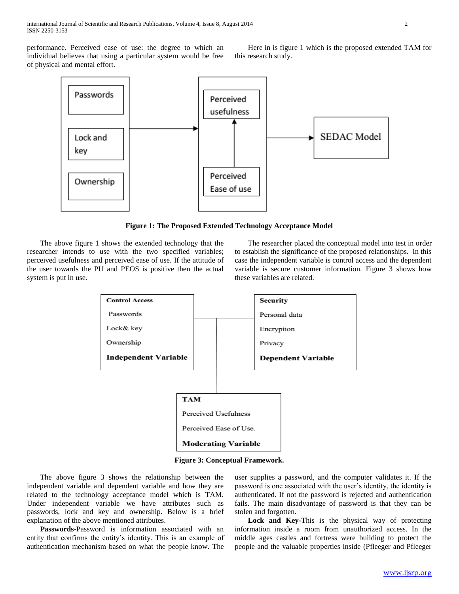performance. Perceived ease of use: the degree to which an individual believes that using a particular system would be free of physical and mental effort.

 Here in is figure 1 which is the proposed extended TAM for this research study.



**Figure 1: The Proposed Extended Technology Acceptance Model**

 The above figure 1 shows the extended technology that the researcher intends to use with the two specified variables; perceived usefulness and perceived ease of use. If the attitude of the user towards the PU and PEOS is positive then the actual system is put in use.

 The researcher placed the conceptual model into test in order to establish the significance of the proposed relationships. In this case the independent variable is control access and the dependent variable is secure customer information. Figure 3 shows how these variables are related.



**Figure 3: Conceptual Framework.**

 The above figure 3 shows the relationship between the independent variable and dependent variable and how they are related to the technology acceptance model which is TAM. Under independent variable we have attributes such as passwords, lock and key and ownership. Below is a brief explanation of the above mentioned attributes.

 **Passwords-**Password is information associated with an entity that confirms the entity's identity. This is an example of authentication mechanism based on what the people know. The

user supplies a password, and the computer validates it. If the password is one associated with the user's identity, the identity is authenticated. If not the password is rejected and authentication fails. The main disadvantage of password is that they can be stolen and forgotten.

 **Lock and Key-**This is the physical way of protecting information inside a room from unauthorized access. In the middle ages castles and fortress were building to protect the people and the valuable properties inside (Pfleeger and Pfleeger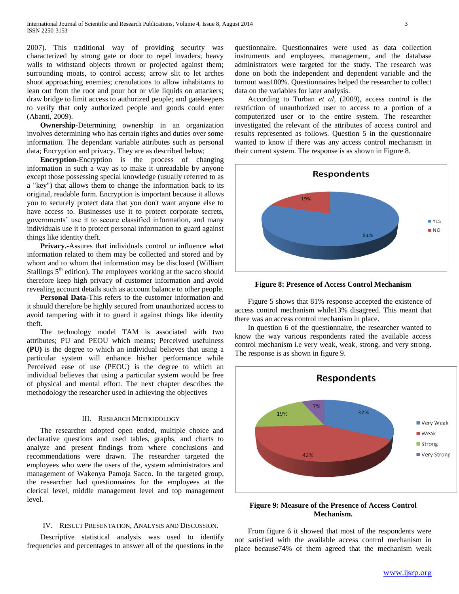2007). This traditional way of providing security was characterized by strong gate or door to repel invaders; heavy walls to withstand objects thrown or projected against them; surrounding moats, to control access; arrow slit to let arches shoot approaching enemies; crenulations to allow inhabitants to lean out from the root and pour hot or vile liquids on attackers; draw bridge to limit access to authorized people; and gatekeepers to verify that only authorized people and goods could enter (Abanti, 2009).

 **Ownership-**Determining ownership in an organization involves determining who has certain rights and duties over some information. The dependant variable attributes such as personal data; Encryption and privacy. They are as described below;

 **Encryption-**Encryption is the process of changing information in such a way as to make it unreadable by anyone except those possessing special knowledge (usually referred to as a "key") that allows them to change the information back to its original, readable form. Encryption is important because it allows you to securely protect data that you don't want anyone else to have access to. Businesses use it to protect corporate secrets, governments' use it to secure classified information, and many individuals use it to protect personal information to guard against things like identity theft.

 **Privacy.-**Assures that individuals control or influence what information related to them may be collected and stored and by whom and to whom that information may be disclosed (William Stallings  $5<sup>th</sup>$  edition). The employees working at the sacco should therefore keep high privacy of customer information and avoid revealing account details such as account balance to other people.

 **Personal Data-**This refers to the customer information and it should therefore be highly secured from unauthorized access to avoid tampering with it to guard it against things like identity theft.

 The technology model TAM is associated with two attributes; PU and PEOU which means; Perceived usefulness **(PU)** is the degree to which an individual believes that using a particular system will enhance his/her performance while Perceived ease of use (PEOU) is the degree to which an individual believes that using a particular system would be free of physical and mental effort. The next chapter describes the methodology the researcher used in achieving the objectives

### III. RESEARCH METHODOLOGY

 The researcher adopted open ended, multiple choice and declarative questions and used tables, graphs, and charts to analyze and present findings from where conclusions and recommendations were drawn. The researcher targeted the employees who were the users of the, system administrators and management of Wakenya Pamoja Sacco. In the targeted group, the researcher had questionnaires for the employees at the clerical level, middle management level and top management level.

#### IV. RESULT PRESENTATION, ANALYSIS AND DISCUSSION.

 Descriptive statistical analysis was used to identify frequencies and percentages to answer all of the questions in the questionnaire. Questionnaires were used as data collection instruments and employees, management, and the database administrators were targeted for the study. The research was done on both the independent and dependent variable and the turnout was100%. Questionnaires helped the researcher to collect data on the variables for later analysis.

 According to Turban *et al,* (2009), access control is the restriction of unauthorized user to access to a portion of a computerized user or to the entire system. The researcher investigated the relevant of the attributes of access control and results represented as follows. Question 5 in the questionnaire wanted to know if there was any access control mechanism in their current system. The response is as shown in Figure 8.



**Figure 8: Presence of Access Control Mechanism**

 Figure 5 shows that 81% response accepted the existence of access control mechanism while13% disagreed. This meant that there was an access control mechanism in place.

 In question 6 of the questi**o**nnaire, the researcher wanted to know the way various respondents rated the available access control mechanism i.e very weak, weak, strong, and very strong. The response is as shown in figure 9.



## **Figure 9: Measure of the Presence of Access Control Mechanism.**

 From figure 6 it showed that most of the respondents were not satisfied with the available access control mechanism in place because74% of them agreed that the mechanism weak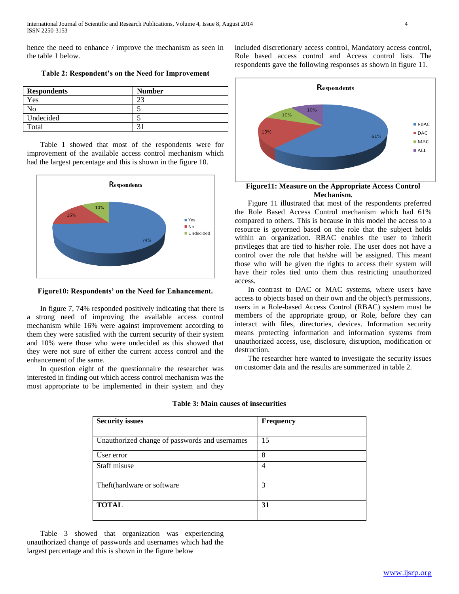hence the need to enhance / improve the mechanism as seen in the table 1 below.

| <b>Respondents</b> | <b>Number</b> |  |
|--------------------|---------------|--|
| Yes                |               |  |
| Ν٥                 |               |  |
| Undecided          |               |  |
| Total              |               |  |

**Table 2: Respondent's on the Need for Improvement**

 Table 1 showed that most of the respondents were for improvement of the available access control mechanism which had the largest percentage and this is shown in the figure 10.



**Figure10: Respondents' on the Need for Enhancement.**

 In figure 7, 74% responded positively indicating that there is a strong need of improving the available access control mechanism while 16% were against improvement according to them they were satisfied with the current security of their system and 10% were those who were undecided as this showed that they were not sure of either the current access control and the enhancement of the same.

 In question eight of the questionnaire the researcher was interested in finding out which access control mechanism was the most appropriate to be implemented in their system and they included discretionary access control, Mandatory access control, Role based access control and Access control lists. The respondents gave the following responses as shown in figure 11.



# **Figure11: Measure on the Appropriate Access Control Mechanism.**

 Figure 11 illustrated that most of the respondents preferred the Role Based Access Control mechanism which had 61% compared to others. This is because in this model the access to a resource is governed based on the role that the subject holds within an organization. RBAC enables the user to inherit privileges that are tied to his/her role. The user does not have a control over the role that he/she will be assigned. This meant those who will be given the rights to access their system will have their roles tied unto them thus restricting unauthorized access.

 In contrast to DAC or MAC systems, where users have access to objects based on their own and the object's permissions, users in a Role-based Access Control (RBAC) system must be members of the appropriate group, or Role, before they can interact with files, directories, devices. Information security means protecting information and information systems from unauthorized access, use, disclosure, disruption, modification or destruction.

 The researcher here wanted to investigate the security issues on customer data and the results are summerized in table 2.

| <b>Security issues</b>                         | <b>Frequency</b> |
|------------------------------------------------|------------------|
| Unauthorized change of passwords and usernames | 15               |
| User error                                     | 8                |
| Staff misuse                                   | 4                |
| Theft(hardware or software                     | 3                |
| <b>TOTAL</b>                                   | 31               |

**Table 3: Main causes of insecurities**

 Table 3 showed that organization was experiencing unauthorized change of passwords and usernames which had the largest percentage and this is shown in the figure below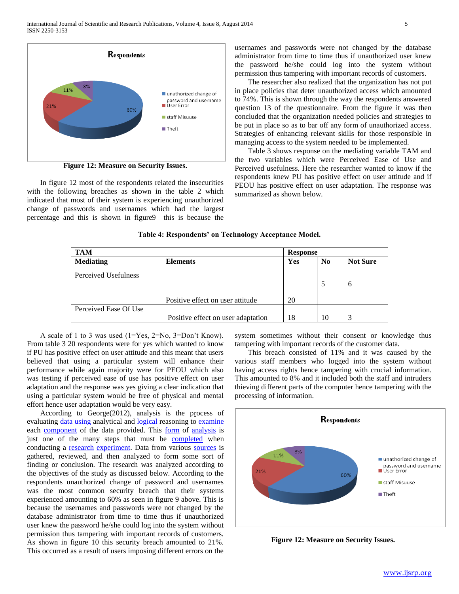International Journal of Scientific and Research Publications, Volume 4, Issue 8, August 2014 5 ISSN 2250-3153



**Figure 12: Measure on Security Issues.**

 In figure 12 most of the respondents related the insecurities with the following breaches as shown in the table 2 which indicated that most of their system is experiencing unauthorized change of passwords and usernames which had the largest percentage and this is shown in figure9 this is because the usernames and passwords were not changed by the database administrator from time to time thus if unauthorized user knew the password he/she could log into the system without permission thus tampering with important records of customers.

 The researcher also realized that the organization has not put in place policies that deter unauthorized access which amounted to 74%. This is shown through the way the respondents answered question 13 of the questionnaire. From the figure it was then concluded that the organization needed policies and strategies to be put in place so as to bar off any form of unauthorized access. Strategies of enhancing relevant skills for those responsible in managing access to the system needed to be implemented.

 Table 3 shows response on the mediating variable TAM and the two variables which were Perceived Ease of Use and Perceived usefulness. Here the researcher wanted to know if the respondents knew PU has positive effect on user attitude and if PEOU has positive effect on user adaptation. The response was summarized as shown below.

**Table 4: Respondents' on Technology Acceptance Model.**

| <b>TAM</b>            |                                    | <b>Response</b> |                |                 |
|-----------------------|------------------------------------|-----------------|----------------|-----------------|
| <b>Mediating</b>      | <b>Elements</b>                    | Yes             | N <sub>0</sub> | <b>Not Sure</b> |
| Perceived Usefulness  |                                    |                 |                | 6               |
|                       | Positive effect on user attitude   | 20              |                |                 |
| Perceived Ease Of Use |                                    |                 |                |                 |
|                       | Positive effect on user adaptation | 18              | 10             | 3               |

 A scale of 1 to 3 was used (1=Yes, 2=No, 3=Don't Know). From table 3 20 respondents were for yes which wanted to know if PU has positive effect on user attitude and this meant that users believed that using a particular system will enhance their performance while again majority were for PEOU which also was testing if perceived ease of use has positive effect on user adaptation and the response was yes giving a clear indication that using a particular system would be free of physical and mental effort hence user adaptation would be very easy.

 According to George(2012), analysis is the process of evaluating [data](http://www.businessdictionary.com/definition/data.html) [using](http://www.businessdictionary.com/definition/user.html) analytical and [logical](http://www.businessdictionary.com/definition/logic.html) reasoning to [examine](http://www.businessdictionary.com/definition/examine.html) each [component](http://www.businessdictionary.com/definition/component.html) of the data provided. This [form](http://www.businessdictionary.com/definition/form.html) of [analysis](http://www.businessdictionary.com/definition/analysis.html) is just one of the many steps that must be [completed](http://www.businessdictionary.com/definition/completed.html) when conducting a **research experiment**. Data from various **sources** is gathered, reviewed, and then analyzed to form some sort of finding or conclusion. The research was analyzed according to the objectives of the study as discussed below. According to the respondents unauthorized change of password and usernames was the most common security breach that their systems experienced amounting to 60% as seen in figure 9 above. This is because the usernames and passwords were not changed by the database administrator from time to time thus if unauthorized user knew the password he/she could log into the system without permission thus tampering with important records of customers. As shown in figure 10 this security breach amounted to 21%. This occurred as a result of users imposing different errors on the

system sometimes without their consent or knowledge thus tampering with important records of the customer data.

 This breach consisted of 11% and it was caused by the various staff members who logged into the system without having access rights hence tampering with crucial information. This amounted to 8% and it included both the staff and intruders thieving different parts of the computer hence tampering with the processing of information.



**Figure 12: Measure on Security Issues.**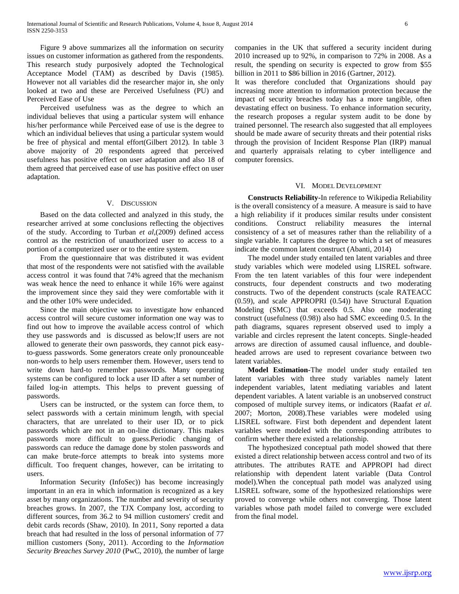Figure 9 above summarizes all the information on security issues on customer information as gathered from the respondents. This research study purposively adopted the Technological Acceptance Model (TAM) as described by Davis (1985). However not all variables did the researcher major in, she only looked at two and these are Perceived Usefulness (PU) and Perceived Ease of Use

 Perceived usefulness was as the degree to which an individual believes that using a particular system will enhance his/her performance while Perceived ease of use is the degree to which an individual believes that using a particular system would be free of physical and mental effort(Gilbert 2012). In table 3 above majority of 20 respondents agreed that perceived usefulness has positive effect on user adaptation and also 18 of them agreed that perceived ease of use has positive effect on user adaptation.

#### V. DISCUSSION

 Based on the data collected and analyzed in this study, the researcher arrived at some conclusions reflecting the objectives of the study. According to Turban *et al*,(2009) defined access control as the restriction of unauthorized user to access to a portion of a computerized user or to the entire system.

 From the questionnaire that was distributed it was evident that most of the respondents were not satisfied with the available access control it was found that 74% agreed that the mechanism was weak hence the need to enhance it while 16% were against the improvement since they said they were comfortable with it and the other 10% were undecided.

 Since the main objective was to investigate how enhanced access control will secure customer information one way was to find out how to improve the available access control of which they use passwords and is discussed as below;If users are not allowed to generate their own passwords, they cannot pick easyto-guess passwords. Some generators create only pronounceable non-words to help users remember them. However, users tend to write down hard-to remember passwords. Many operating systems can be configured to lock a user ID after a set number of failed log-in attempts. This helps to prevent guessing of passwords.

 Users can be instructed, or the system can force them, to select passwords with a certain minimum length, with special characters, that are unrelated to their user ID, or to pick passwords which are not in an on-line dictionary. This makes passwords more difficult to guess.Periodic changing of passwords can reduce the damage done by stolen passwords and can make brute-force attempts to break into systems more difficult. Too frequent changes, however, can be irritating to users.

 Information Security (InfoSec)) has become increasingly important in an era in which information is recognized as a key asset by many organizations. The number and severity of security breaches grows. In 2007, the TJX Company lost, according to different sources, from 36.2 to 94 million customers' credit and debit cards records (Shaw, 2010). In 2011, Sony reported a data breach that had resulted in the loss of personal information of 77 million customers (Sony, 2011). According to the *Information Security Breaches Survey 2010* (PwC, 2010), the number of large companies in the UK that suffered a security incident during 2010 increased up to 92%, in comparison to 72% in 2008. As a result, the spending on security is expected to grow from \$55 billion in 2011 to \$86 billion in 2016 (Gartner, 2012).

It was therefore concluded that Organizations should pay increasing more attention to information protection because the impact of security breaches today has a more tangible, often devastating effect on business. To enhance information security, the research proposes a regular system audit to be done by trained personnel. The research also suggested that all employees should be made aware of security threats and their potential risks through the provision of Incident Response Plan (IRP) manual and quarterly appraisals relating to cyber intelligence and computer forensics.

### VI. MODEL DEVELOPMENT

 **Constructs Reliability-**In reference to Wikipedia Reliability is the overall consistency of a measure. A measure is said to have a high reliability if it produces similar results under consistent conditions. Construct reliability measures the internal consistency of a set of measures rather than the reliability of a single variable. It captures the degree to which a set of measures indicate the common latent construct (Abanti, 2014)

 The model under study entailed ten latent variables and three study variables which were modeled using LISREL software. From the ten latent variables of this four were independent constructs, four dependent constructs and two moderating constructs. Two of the dependent constructs (scale RATEACC (0.59), and scale APPROPRI (0.54)) have Structural Equation Modeling (SMC) that exceeds 0.5. Also one moderating construct (usefulness (0.98)) also had SMC exceeding 0.5. In the path diagrams, squares represent observed used to imply a variable and circles represent the latent concepts. Single-headed arrows are direction of assumed causal influence, and doubleheaded arrows are used to represent covariance between two latent variables.

 **Model Estimation-**The model under study entailed ten latent variables with three study variables namely latent independent variables, latent mediating variables and latent dependent variables. A latent variable is an unobserved construct composed of multiple survey items, or indicators (Raafat *et al*. 2007; Morton, 2008).These variables were modeled using LISREL software. First both dependent and dependent latent variables were modeled with the corresponding attributes to confirm whether there existed a relationship.

 The hypothesized conceptual path model showed that there existed a direct relationship between access control and two of its attributes. The attributes RATE and APPROPI had direct relationship with dependent latent variable (Data Control model).When the conceptual path model was analyzed using LISREL software, some of the hypothesized relationships were proved to converge while others not converging. Those latent variables whose path model failed to converge were excluded from the final model.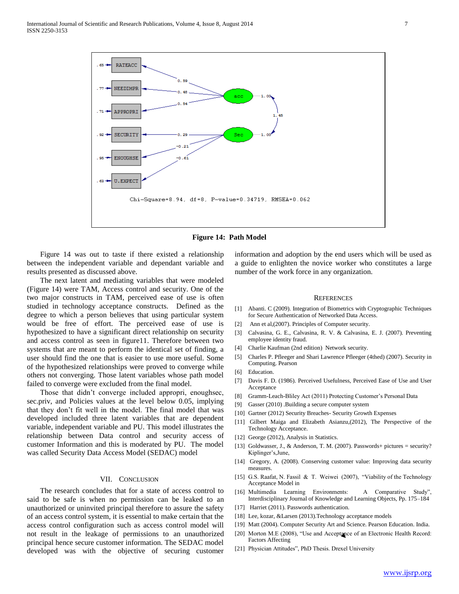



 Figure 14 was out to taste if there existed a relationship between the independent variable and dependant variable and results presented as discussed above.

 The next latent and mediating variables that were modeled (Figure 14) were TAM, Access control and security. One of the two major constructs in TAM, perceived ease of use is often studied in technology acceptance constructs. Defined as the degree to which a person believes that using particular system would be free of effort. The perceived ease of use is hypothesized to have a significant direct relationship on security and access control as seen in figure11. Therefore between two systems that are meant to perform the identical set of finding, a user should find the one that is easier to use more useful. Some of the hypothesized relationships were proved to converge while others not converging. Those latent variables whose path model failed to converge were excluded from the final model.

 Those that didn't converge included appropri, enoughsec, sec.priv, and Policies values at the level below 0.05, implying that they don't fit well in the model. The final model that was developed included three latent variables that are dependent variable, independent variable and PU. This model illustrates the relationship between Data control and security access of customer Information and this is moderated by PU. The model was called Security Data Access Model (SEDAC) model

### VII. CONCLUSION

 The research concludes that for a state of access control to said to be safe is when no permission can be leaked to an unauthorized or uninvited principal therefore to assure the safety of an access control system, it is essential to make certain that the access control configuration such as access control model will not result in the leakage of permissions to an unauthorized principal hence secure customer information. The SEDAC model developed was with the objective of securing customer

information and adoption by the end users which will be used as a guide to enlighten the novice worker who constitutes a large number of the work force in any organization.

#### **REFERENCES**

- [1] Abanti. C (2009). Integration of Biometrics with Cryptographic Techniques for Secure Authentication of Networked Data Access.
- [2] Ann et al,(2007). Principles of Computer security.
- [3] Calvasina, G. E., Calvasina, R. V. & Calvasina, E. J. (2007). Preventing employee identity fraud.
- [4] Charlie Kaufman (2nd edition) Network security.
- [5] Charles P. Pfleeger and Shari Lawrence Pfleeger (4thed) (2007). Security in Computing. Pearson
- [6] Education.
- [7] Davis F. D. (1986). Perceived Usefulness, Perceived Ease of Use and User Acceptance
- [8] Gramm-Leach-Bliley Act (2011) Protecting Customer's Personal Data
- [9] Gasser (2010) .Building a secure computer system
- [10] Gartner (2012) Security Breaches- Security Growth Expenses
- [11] Gilbert Maiga and Elizabeth Asianzu,(2012), The Perspective of the Technology Acceptance.
- [12] George (2012), Analysis in Statistics.
- [13] Goldwasser, J., & Anderson, T. M. (2007). Passwords+ pictures = security? Kiplinger's,June,
- [14] Gregory, A. (2008). Conserving customer value: Improving data security measures.
- [15] G.S. Raafat, N. Fassil & T. Weiwei (2007), "Viability of the Technology Acceptance Model in
- [16] Multimedia Learning Environments: A Comparative Study" Interdisciplinary Journal of Knowledge and Learning Objects, Pp. 175–184
- [17] Harriet (2011). Passwords authentication.
- [18] Lee, kozar, &Larsen (2013).Technology acceptance models
- [19] Matt (2004). Computer Security Art and Science. Pearson Education. India.
- [20] Morton M.E (2008), "Use and Acceptance of an Electronic Health Record: Factors Affecting
- [21] Physician Attitudes", PhD Thesis. Drexel University